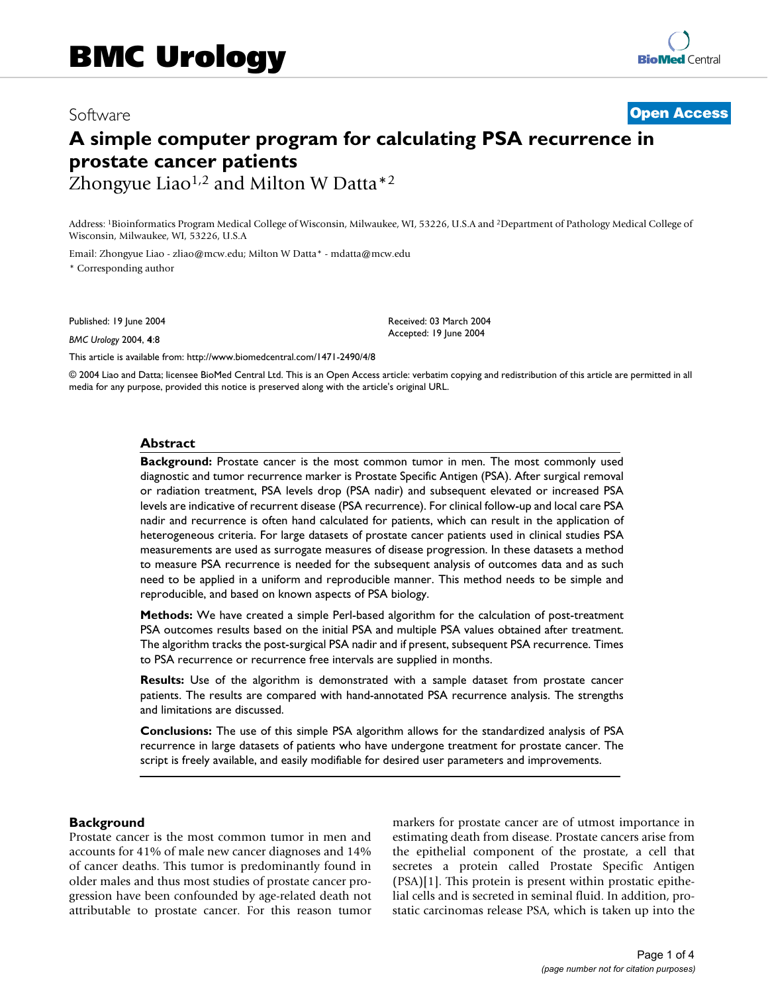# Software **[Open Access](http://www.biomedcentral.com/info/about/charter/) A simple computer program for calculating PSA recurrence in prostate cancer patients** Zhongyue Liao<sup>1,2</sup> and Milton W Datta\*<sup>2</sup>

Address: 1Bioinformatics Program Medical College of Wisconsin, Milwaukee, WI, 53226, U.S.A and 2Department of Pathology Medical College of Wisconsin, Milwaukee, WI, 53226, U.S.A

Email: Zhongyue Liao - zliao@mcw.edu; Milton W Datta\* - mdatta@mcw.edu \* Corresponding author

Published: 19 June 2004

*BMC Urology* 2004, **4**:8

[This article is available from: http://www.biomedcentral.com/1471-2490/4/8](http://www.biomedcentral.com/1471-2490/4/8)

© 2004 Liao and Datta; licensee BioMed Central Ltd. This is an Open Access article: verbatim copying and redistribution of this article are permitted in all media for any purpose, provided this notice is preserved along with the article's original URL.

Received: 03 March 2004 Accepted: 19 June 2004

#### **Abstract**

**Background:** Prostate cancer is the most common tumor in men. The most commonly used diagnostic and tumor recurrence marker is Prostate Specific Antigen (PSA). After surgical removal or radiation treatment, PSA levels drop (PSA nadir) and subsequent elevated or increased PSA levels are indicative of recurrent disease (PSA recurrence). For clinical follow-up and local care PSA nadir and recurrence is often hand calculated for patients, which can result in the application of heterogeneous criteria. For large datasets of prostate cancer patients used in clinical studies PSA measurements are used as surrogate measures of disease progression. In these datasets a method to measure PSA recurrence is needed for the subsequent analysis of outcomes data and as such need to be applied in a uniform and reproducible manner. This method needs to be simple and reproducible, and based on known aspects of PSA biology.

**Methods:** We have created a simple Perl-based algorithm for the calculation of post-treatment PSA outcomes results based on the initial PSA and multiple PSA values obtained after treatment. The algorithm tracks the post-surgical PSA nadir and if present, subsequent PSA recurrence. Times to PSA recurrence or recurrence free intervals are supplied in months.

**Results:** Use of the algorithm is demonstrated with a sample dataset from prostate cancer patients. The results are compared with hand-annotated PSA recurrence analysis. The strengths and limitations are discussed.

**Conclusions:** The use of this simple PSA algorithm allows for the standardized analysis of PSA recurrence in large datasets of patients who have undergone treatment for prostate cancer. The script is freely available, and easily modifiable for desired user parameters and improvements.

#### **Background**

Prostate cancer is the most common tumor in men and accounts for 41% of male new cancer diagnoses and 14% of cancer deaths. This tumor is predominantly found in older males and thus most studies of prostate cancer progression have been confounded by age-related death not attributable to prostate cancer. For this reason tumor markers for prostate cancer are of utmost importance in estimating death from disease. Prostate cancers arise from the epithelial component of the prostate, a cell that secretes a protein called Prostate Specific Antigen (PSA)[1]. This protein is present within prostatic epithelial cells and is secreted in seminal fluid. In addition, prostatic carcinomas release PSA, which is taken up into the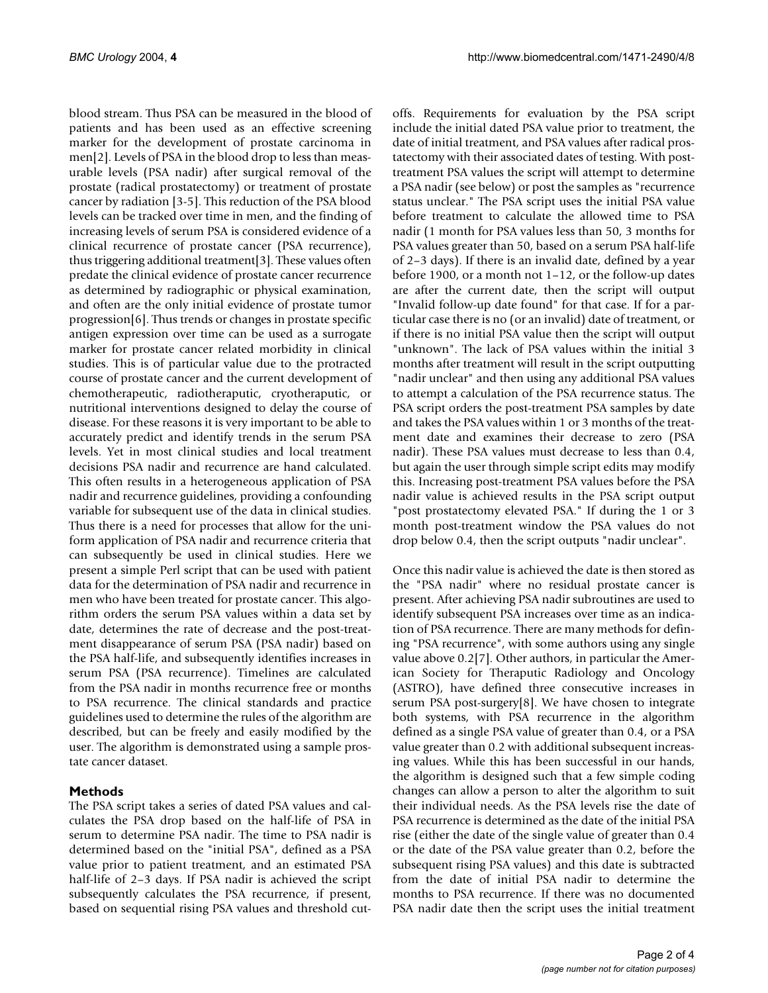blood stream. Thus PSA can be measured in the blood of patients and has been used as an effective screening marker for the development of prostate carcinoma in men[2]. Levels of PSA in the blood drop to less than measurable levels (PSA nadir) after surgical removal of the prostate (radical prostatectomy) or treatment of prostate cancer by radiation [3-5]. This reduction of the PSA blood levels can be tracked over time in men, and the finding of increasing levels of serum PSA is considered evidence of a clinical recurrence of prostate cancer (PSA recurrence), thus triggering additional treatment[3]. These values often predate the clinical evidence of prostate cancer recurrence as determined by radiographic or physical examination, and often are the only initial evidence of prostate tumor progression[6]. Thus trends or changes in prostate specific antigen expression over time can be used as a surrogate marker for prostate cancer related morbidity in clinical studies. This is of particular value due to the protracted course of prostate cancer and the current development of chemotherapeutic, radiotheraputic, cryotheraputic, or nutritional interventions designed to delay the course of disease. For these reasons it is very important to be able to accurately predict and identify trends in the serum PSA levels. Yet in most clinical studies and local treatment decisions PSA nadir and recurrence are hand calculated. This often results in a heterogeneous application of PSA nadir and recurrence guidelines, providing a confounding variable for subsequent use of the data in clinical studies. Thus there is a need for processes that allow for the uniform application of PSA nadir and recurrence criteria that can subsequently be used in clinical studies. Here we present a simple Perl script that can be used with patient data for the determination of PSA nadir and recurrence in men who have been treated for prostate cancer. This algorithm orders the serum PSA values within a data set by date, determines the rate of decrease and the post-treatment disappearance of serum PSA (PSA nadir) based on the PSA half-life, and subsequently identifies increases in serum PSA (PSA recurrence). Timelines are calculated from the PSA nadir in months recurrence free or months to PSA recurrence. The clinical standards and practice guidelines used to determine the rules of the algorithm are described, but can be freely and easily modified by the user. The algorithm is demonstrated using a sample prostate cancer dataset.

# **Methods**

The PSA script takes a series of dated PSA values and calculates the PSA drop based on the half-life of PSA in serum to determine PSA nadir. The time to PSA nadir is determined based on the "initial PSA", defined as a PSA value prior to patient treatment, and an estimated PSA half-life of 2–3 days. If PSA nadir is achieved the script subsequently calculates the PSA recurrence, if present, based on sequential rising PSA values and threshold cutoffs. Requirements for evaluation by the PSA script include the initial dated PSA value prior to treatment, the date of initial treatment, and PSA values after radical prostatectomy with their associated dates of testing. With posttreatment PSA values the script will attempt to determine a PSA nadir (see below) or post the samples as "recurrence status unclear." The PSA script uses the initial PSA value before treatment to calculate the allowed time to PSA nadir (1 month for PSA values less than 50, 3 months for PSA values greater than 50, based on a serum PSA half-life of 2–3 days). If there is an invalid date, defined by a year before 1900, or a month not 1–12, or the follow-up dates are after the current date, then the script will output "Invalid follow-up date found" for that case. If for a particular case there is no (or an invalid) date of treatment, or if there is no initial PSA value then the script will output "unknown". The lack of PSA values within the initial 3 months after treatment will result in the script outputting "nadir unclear" and then using any additional PSA values to attempt a calculation of the PSA recurrence status. The PSA script orders the post-treatment PSA samples by date and takes the PSA values within 1 or 3 months of the treatment date and examines their decrease to zero (PSA nadir). These PSA values must decrease to less than 0.4, but again the user through simple script edits may modify this. Increasing post-treatment PSA values before the PSA nadir value is achieved results in the PSA script output "post prostatectomy elevated PSA." If during the 1 or 3 month post-treatment window the PSA values do not drop below 0.4, then the script outputs "nadir unclear".

Once this nadir value is achieved the date is then stored as the "PSA nadir" where no residual prostate cancer is present. After achieving PSA nadir subroutines are used to identify subsequent PSA increases over time as an indication of PSA recurrence. There are many methods for defining "PSA recurrence", with some authors using any single value above 0.2[7]. Other authors, in particular the American Society for Theraputic Radiology and Oncology (ASTRO), have defined three consecutive increases in serum PSA post-surgery[8]. We have chosen to integrate both systems, with PSA recurrence in the algorithm defined as a single PSA value of greater than 0.4, or a PSA value greater than 0.2 with additional subsequent increasing values. While this has been successful in our hands, the algorithm is designed such that a few simple coding changes can allow a person to alter the algorithm to suit their individual needs. As the PSA levels rise the date of PSA recurrence is determined as the date of the initial PSA rise (either the date of the single value of greater than 0.4 or the date of the PSA value greater than 0.2, before the subsequent rising PSA values) and this date is subtracted from the date of initial PSA nadir to determine the months to PSA recurrence. If there was no documented PSA nadir date then the script uses the initial treatment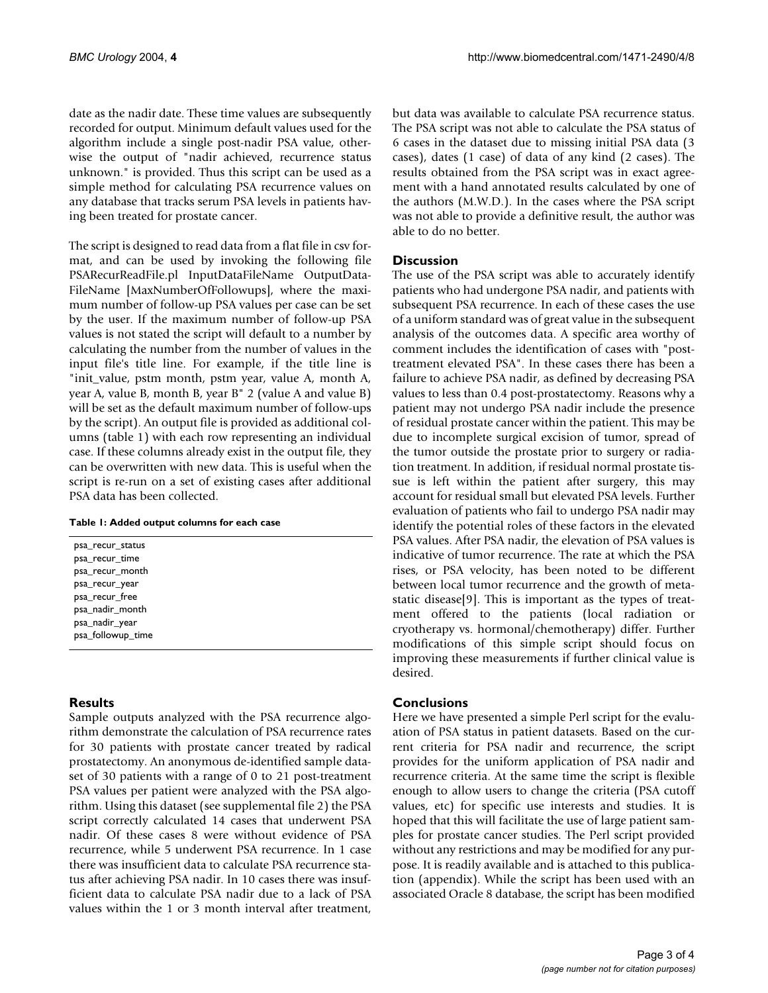date as the nadir date. These time values are subsequently recorded for output. Minimum default values used for the algorithm include a single post-nadir PSA value, otherwise the output of "nadir achieved, recurrence status unknown." is provided. Thus this script can be used as a simple method for calculating PSA recurrence values on any database that tracks serum PSA levels in patients having been treated for prostate cancer.

The script is designed to read data from a flat file in csv format, and can be used by invoking the following file PSARecurReadFile.pl InputDataFileName OutputData-FileName [MaxNumberOfFollowups], where the maximum number of follow-up PSA values per case can be set by the user. If the maximum number of follow-up PSA values is not stated the script will default to a number by calculating the number from the number of values in the input file's title line. For example, if the title line is "init\_value, pstm month, pstm year, value A, month A, year A, value B, month B, year B" 2 (value A and value B) will be set as the default maximum number of follow-ups by the script). An output file is provided as additional columns (table [1\)](#page-2-0) with each row representing an individual case. If these columns already exist in the output file, they can be overwritten with new data. This is useful when the script is re-run on a set of existing cases after additional PSA data has been collected.

#### <span id="page-2-0"></span>**Table 1: Added output columns for each case**

| psa_recur_status  |  |  |
|-------------------|--|--|
| psa_recur_time    |  |  |
| psa_recur_month   |  |  |
| psa_recur_year    |  |  |
| psa_recur_free    |  |  |
| psa_nadir_month   |  |  |
| psa_nadir_year    |  |  |
| psa_followup_time |  |  |
|                   |  |  |

# **Results**

Sample outputs analyzed with the PSA recurrence algorithm demonstrate the calculation of PSA recurrence rates for 30 patients with prostate cancer treated by radical prostatectomy. An anonymous de-identified sample dataset of 30 patients with a range of 0 to 21 post-treatment PSA values per patient were analyzed with the PSA algorithm. Using this dataset (see supplemental file 2) the PSA script correctly calculated 14 cases that underwent PSA nadir. Of these cases 8 were without evidence of PSA recurrence, while 5 underwent PSA recurrence. In 1 case there was insufficient data to calculate PSA recurrence status after achieving PSA nadir. In 10 cases there was insufficient data to calculate PSA nadir due to a lack of PSA values within the 1 or 3 month interval after treatment,

but data was available to calculate PSA recurrence status. The PSA script was not able to calculate the PSA status of 6 cases in the dataset due to missing initial PSA data (3 cases), dates (1 case) of data of any kind (2 cases). The results obtained from the PSA script was in exact agreement with a hand annotated results calculated by one of the authors (M.W.D.). In the cases where the PSA script was not able to provide a definitive result, the author was able to do no better.

## **Discussion**

The use of the PSA script was able to accurately identify patients who had undergone PSA nadir, and patients with subsequent PSA recurrence. In each of these cases the use of a uniform standard was of great value in the subsequent analysis of the outcomes data. A specific area worthy of comment includes the identification of cases with "posttreatment elevated PSA". In these cases there has been a failure to achieve PSA nadir, as defined by decreasing PSA values to less than 0.4 post-prostatectomy. Reasons why a patient may not undergo PSA nadir include the presence of residual prostate cancer within the patient. This may be due to incomplete surgical excision of tumor, spread of the tumor outside the prostate prior to surgery or radiation treatment. In addition, if residual normal prostate tissue is left within the patient after surgery, this may account for residual small but elevated PSA levels. Further evaluation of patients who fail to undergo PSA nadir may identify the potential roles of these factors in the elevated PSA values. After PSA nadir, the elevation of PSA values is indicative of tumor recurrence. The rate at which the PSA rises, or PSA velocity, has been noted to be different between local tumor recurrence and the growth of metastatic disease[9]. This is important as the types of treatment offered to the patients (local radiation or cryotherapy vs. hormonal/chemotherapy) differ. Further modifications of this simple script should focus on improving these measurements if further clinical value is desired.

# **Conclusions**

Here we have presented a simple Perl script for the evaluation of PSA status in patient datasets. Based on the current criteria for PSA nadir and recurrence, the script provides for the uniform application of PSA nadir and recurrence criteria. At the same time the script is flexible enough to allow users to change the criteria (PSA cutoff values, etc) for specific use interests and studies. It is hoped that this will facilitate the use of large patient samples for prostate cancer studies. The Perl script provided without any restrictions and may be modified for any purpose. It is readily available and is attached to this publication (appendix). While the script has been used with an associated Oracle 8 database, the script has been modified